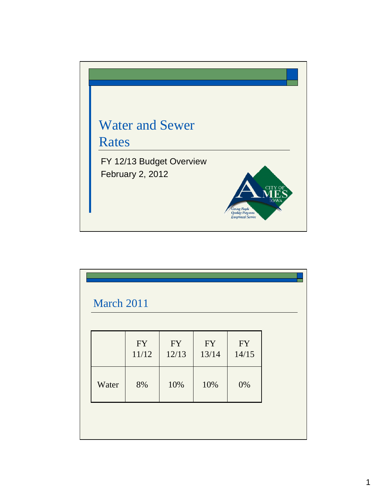

| March 2011 |                    |                    |                    |                    |  |
|------------|--------------------|--------------------|--------------------|--------------------|--|
|            | <b>FY</b><br>11/12 | <b>FY</b><br>12/13 | <b>FY</b><br>13/14 | <b>FY</b><br>14/15 |  |
| Water      | 8%                 | 10%                | 10%                | 0%                 |  |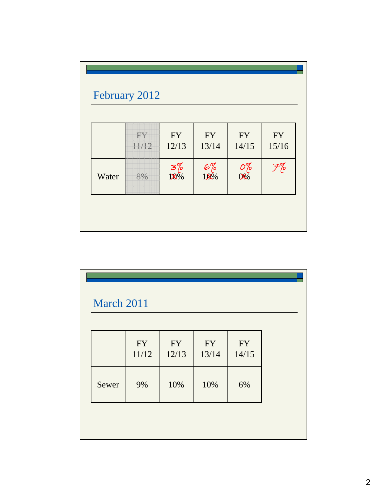|       | FY    | <b>FY</b>       | <b>FY</b>        | <b>FY</b>                         | <b>FY</b> |
|-------|-------|-----------------|------------------|-----------------------------------|-----------|
|       | 11/12 | 12/13           | 13/14            | 14/15                             | 15/16     |
| Water | 8%    | $3\%$<br>$18\%$ | $rac{6\%}{10\%}$ | $\frac{\partial \%}{\partial \%}$ | F%        |

| <b>FY</b><br>11/12 | <b>FY</b><br>12/13 | <b>FY</b><br>13/14 | <b>FY</b><br>14/15 |
|--------------------|--------------------|--------------------|--------------------|
| 9%                 | 10%                | 10%                | 6%                 |
|                    |                    |                    |                    |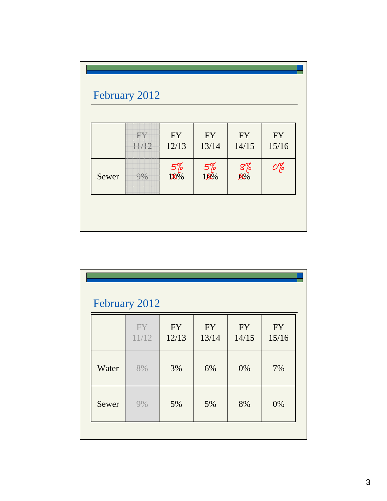|       | FY<br>11/12 | <b>FY</b><br>12/13 | <b>FY</b><br>13/14 | <b>FY</b><br>14/15 | <b>FY</b><br>15/16 |
|-------|-------------|--------------------|--------------------|--------------------|--------------------|
| Sewer | 9%          | $\frac{5\%}{10\%}$ | $\frac{5\%}{10\%}$ | $\frac{8\%}{8\%}$  | 0%                 |

| February 2012 |             |                    |                    |                    |                    |  |  |  |  |
|---------------|-------------|--------------------|--------------------|--------------------|--------------------|--|--|--|--|
|               | FY<br>11/12 | <b>FY</b><br>12/13 | <b>FY</b><br>13/14 | <b>FY</b><br>14/15 | <b>FY</b><br>15/16 |  |  |  |  |
| Water         | 8%          | 3%                 | 6%                 | 0%                 | 7%                 |  |  |  |  |
| Sewer         | 9%          | 5%                 | 5%                 | 8%                 | 0%                 |  |  |  |  |
|               |             |                    |                    |                    |                    |  |  |  |  |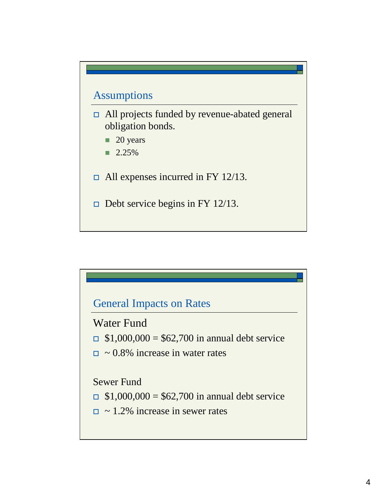## Assumptions

- All projects funded by revenue-abated general obligation bonds.
	- **20 years**
	- $\blacksquare$  2.25%
- $\Box$  All expenses incurred in FY 12/13.
- $\Box$  Debt service begins in FY 12/13.

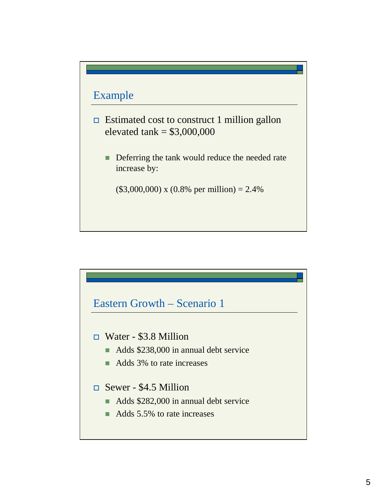

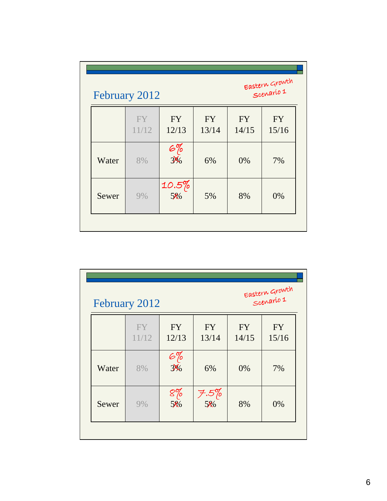| Eastern Growth<br>Scenario 1<br>February 2012 |                    |                    |                    |                    |                    |  |  |
|-----------------------------------------------|--------------------|--------------------|--------------------|--------------------|--------------------|--|--|
|                                               | <b>FY</b><br>11/12 | <b>FY</b><br>12/13 | <b>FY</b><br>13/14 | <b>FY</b><br>14/15 | <b>FY</b><br>15/16 |  |  |
| Water                                         | 8%                 | $rac{67}{340}$     | 6%                 | 0%                 | 7%                 |  |  |
| Sewer                                         | 9%                 | $10.5\%$ 5%        | 5%                 | 8%                 | 0%                 |  |  |

|       | Eastern Growth<br>Scenario 1<br>February 2012 |                                             |                        |                    |                    |  |  |  |
|-------|-----------------------------------------------|---------------------------------------------|------------------------|--------------------|--------------------|--|--|--|
|       | FY<br>11/12                                   | <b>FY</b><br>12/13                          | <b>FY</b><br>13/14     | <b>FY</b><br>14/15 | <b>FY</b><br>15/16 |  |  |  |
| Water | 8%                                            | $\varepsilon$ %<br>$\overline{\frac{3}{2}}$ | 6%                     | 0%                 | 7%                 |  |  |  |
| Sewer | 9%                                            | 8%<br>5%                                    | ヲ.5%<br>5 <sub>№</sub> | 8%                 | 0%                 |  |  |  |
|       |                                               |                                             |                        |                    |                    |  |  |  |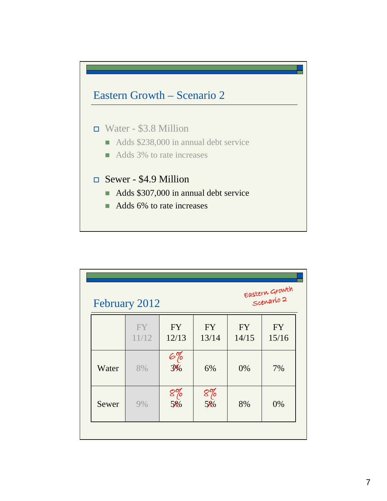

|       | February 2012      |                    |                    |                    | Eastern Growth<br>Scenario 2 |
|-------|--------------------|--------------------|--------------------|--------------------|------------------------------|
|       | <b>FY</b><br>11/12 | <b>FY</b><br>12/13 | <b>FY</b><br>13/14 | <b>FY</b><br>14/15 | <b>FY</b><br>15/16           |
| Water | 8%                 | $rac{67}{35}$      | 6%                 | 0%                 | 7%                           |
| Sewer | 9%                 | $8\%$<br>5%        | $8\%$<br>5‰        | 8%                 | 0%                           |
|       |                    |                    |                    |                    |                              |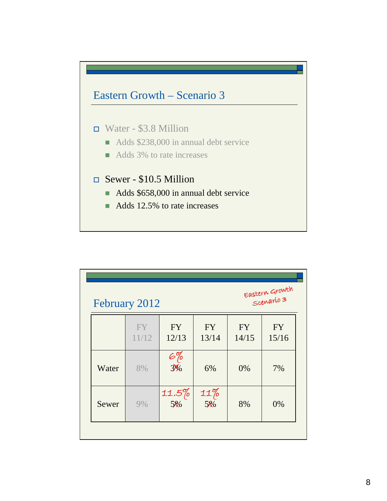

|       | February 2012 |                    | Eastern Growth<br>Scenario 3 |                    |                    |
|-------|---------------|--------------------|------------------------------|--------------------|--------------------|
|       | FY<br>11/12   | <b>FY</b><br>12/13 | <b>FY</b><br>13/14           | <b>FY</b><br>14/15 | <b>FY</b><br>15/16 |
| Water | 8%            | $rac{67}{35}$      | 6%                           | 0%                 | 7%                 |
| Sewer | 9%            | $11.5\%$<br>5%     | $11\%$<br>5%                 | 8%                 | 0%                 |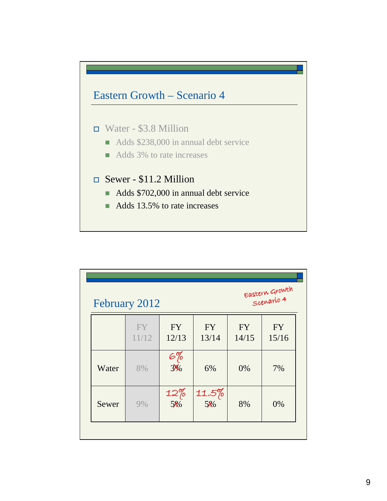

|       | February 2012      |                    |                    | Eastern Growth<br>Scenario 4 |                    |
|-------|--------------------|--------------------|--------------------|------------------------------|--------------------|
|       | <b>FY</b><br>11/12 | <b>FY</b><br>12/13 | <b>FY</b><br>13/14 | <b>FY</b><br>14/15           | <b>FY</b><br>15/16 |
| Water | 8%                 | $rac{67}{35}$      | 6%                 | 0%                           | 7%                 |
| Sewer | 9%                 | $12\%$<br>5%       | $11.5\%$<br>5‰     | 8%                           | 0%                 |
|       |                    |                    |                    |                              |                    |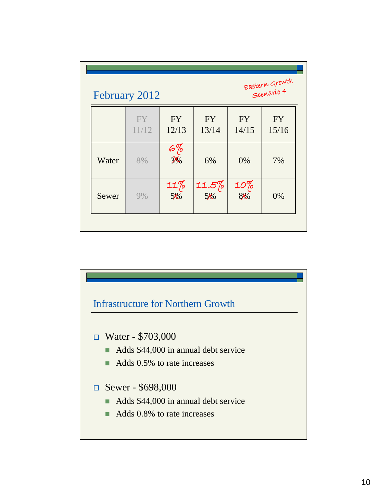|       | February 2012      |                    |                    |                    | Eastern Growth<br>Scenario 4 |
|-------|--------------------|--------------------|--------------------|--------------------|------------------------------|
|       | <b>FY</b><br>11/12 | <b>FY</b><br>12/13 | <b>FY</b><br>13/14 | <b>FY</b><br>14/15 | <b>FY</b><br>15/16           |
| Water | 8%                 | $rac{67}{35}$      | 6%                 | 0%                 | 7%                           |
| Sewer | 9%                 | $11\%$<br>5%       | $11.5\%$<br>5‰     | $\frac{10\%}{8\%}$ | 0%                           |